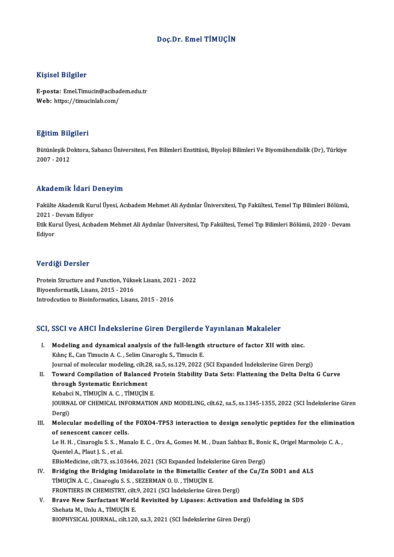## Doç.Dr. Emel TİMUÇİN

## Kişisel Bilgiler

E-posta: Emel.Timucin@acibadem.edu.tr Web: https://timucinlab.com/

## Eğitim Bilgileri

**Eğitim Bilgileri**<br>Bütünleşik Doktora, Sabancı Üniversitesi, Fen Bilimleri Enstitüsü, Biyoloji Bilimleri Ve Biyomühendislik (Dr), Türkiye<br>2007 - 2012 23221111<br>Bütünleşik D<br>2007 - 2012

## 2007 - 2012<br>Akademik İdari Deneyim

**Akademik İdari Deneyim**<br>Fakülte Akademik Kurul Üyesi, Acıbadem Mehmet Ali Aydınlar Üniversitesi, Tıp Fakültesi, Temel Tıp Bilimleri Bölümü,<br>2021 - Devam Ediyer 2021 - Devam Paul Pre<br>2021 - Devam Ediyor<br>Etik Kurul Üyesi, Asıb Fakülte Akademik Kurul Üyesi, Acıbadem Mehmet Ali Aydınlar Üniversitesi, Tıp Fakültesi, Temel Tıp Bilimleri Bölümü,<br>2021 - Devam Ediyor<br>Etik Kurul Üyesi, Acıbadem Mehmet Ali Aydınlar Üniversitesi, Tıp Fakültesi, Temel Tıp

2021 - Devam Ediyor<br>Etik Kurul Üyesi, Acıbadem Mehmet Ali Aydınlar Üniversitesi, Tıp Fakültesi, Temel Tıp Bilimleri Bölümü, 2020 - Devam<br>Ediyor

### Verdiği Dersler

Verdiği Dersler<br>Protein Structure and Function, Yüksek Lisans, 2021 - 2022<br>Biveopformatik, Lisans, 2015 - 2016 Protein Structure and Function, Yüks<br>Biyoenformatik, Lisans, 2015 - 2016<br>Introdaution to Bioinformatics, Lisan Biyoenformatik, Lisans, 2015 - 2016<br>Introdcution to Bioinformatics, Lisans, 2015 - 2016

# ntroacution to biomformatics, Lisans, 2015 - 2016<br>SCI, SSCI ve AHCI İndekslerine Giren Dergilerde Yayınlanan Makaleler

CI, SSCI ve AHCI İndekslerine Giren Dergilerde Yayınlanan Makaleler<br>I. Modeling and dynamical analysis of the full-length structure of factor XII with zinc.<br>Kline E. Can Timusin A. C. Selim Ginanaglu S. Timusin E. I. Modeling and dynamical analysis of the full-length structure of factor XII with zinc.<br>Kılınç E., Can Timucin A. C., Selim Cinaroglu S., Timucin E. Modeling and dynamical analysis of the full-length structure of factor XII with zinc.<br>Kılınç E., Can Timucin A. C. , Selim Cinaroglu S., Timucin E.<br>Journal of molecular modeling, cilt.28, sa.5, ss.129, 2022 (SCI Expanded İ Kılınç E., Can Timucin A. C. , Selim Cinaroglu S., Timucin E.<br>Journal of molecular modeling, cilt.28, sa.5, ss.1.29, 2022 (SCI Expanded İndekslerine Giren Dergi)<br>II. Toward Compilation of Balanced Protein Stability Dat Journal of molecular modeling, cilt.2<br>Toward Compilation of Balance<br>through Systematic Enrichment<br>Kebabsi N. TiMICIN A.C. TIMICIN Toward Compilation of Balanced F<br>through Systematic Enrichment<br>Kebabci N., TİMUÇİN A. C. , TİMUÇİN E.<br>JOUPNAL OF CHEMICAL INFORMATION through Systematic Enrichment<br>Kebabci N., TİMUÇİN A. C. , TİMUÇİN E.<br>JOURNAL OF CHEMICAL INFORMATION AND MODELING, cilt.62, sa.5, ss.1345-1355, 2022 (SCI İndekslerine Giren<br>Dergi) Kebabci N., TİMUÇİN A. C., TİMUÇİN E. JOURNAL OF CHEMICAL INFORMATION AND MODELING, cilt.62, sa.5, ss.1345-1355, 2022 (SCI Indekslerine Giren<br>Dergi)<br>III. Molecular modelling of the FOXO4-TP53 interaction to design senolytic peptides for the elimination<br>of sene Dergi)<br>Molecular modelling of th<br>of senescent cancer cells.<br>Le H H - Ginaroglu S.S. Man Molecular modelling of the FOXO4-TP53 interaction to design senolytic peptides for the eliminate of senescent cancer cells.<br>Le H. H. , Cinaroglu S.S. , Manalo E. C. , Ors A., Gomes M. M. , Duan Sahbaz B., Bonic K., Origel of senescent cancer cell<br>Le H. H. , Cinaroglu S. S. , M<br>Quentel A., Plaut J. S. , et al.<br>EPioModisino, silt 73, ss. 10 Le H. H. , Cinaroglu S. S. , Manalo E. C. , Ors A., Gomes M. M. , Duan Sahbaz B., Bon<br>Quentel A., Plaut J. S. , et al.<br>EBioMedicine, cilt.73, ss.103646, 2021 (SCI Expanded İndekslerine Giren Dergi)<br>Pridging the Pridging Im Quentel A., Plaut J. S., et al.<br>EBioMedicine, cilt.73, ss.103646, 2021 (SCI Expanded Indekslerine Giren Dergi)<br>IV. Bridging the Bridging Imidazolate in the Bimetallic Center of the Cu/Zn SOD1 and ALS<br>TIMUCIN A.C. Cineres i EBioMedicine, cilt.73, ss.103646, 2021 (SCI Expanded Indekslerine Giren Dergi)<br>Bridging the Bridging Imidazolate in the Bimetallic Center of the Cu/Z.<br>TIMUÇIN A.C., Cinaroglu S.S., SEZERMAN O.U., TIMUÇIN E.<br>FRONTIERS IN CH Bridging the Bridging Imidazolate in the Bimetallic Center of the Timuçin A. C., Cinaroglu S. S., SEZERMAN O. U., Timuçin E.<br>FRONTIERS IN CHEMISTRY, cilt.9, 2021 (SCI İndekslerine Giren Dergi)<br>Prayo Now Surfactant World Bo TIMUÇIN A. C. , Cinaroglu S. S. , SEZERMAN O. U. , TIMUÇIN E.<br>FRONTIERS IN CHEMISTRY, cilt.9, 2021 (SCI Indekslerine Giren Dergi)<br>V. Brave New Surfactant World Revisited by Lipases: Activation and Unfolding in SDS<br>Shebata Shehata M., Unlu A., TİMUÇİN E.<br>BIOPHYSICAL JOURNAL, cilt.120, sa.3, 2021 (SCI İndekslerine Giren Dergi) Brave New Surfactant World Revisited by Lipases: Activation and<br>Shehata M., Unlu A., TİMUÇİN E.<br>BIOPHYSICAL JOURNAL, cilt.120, sa.3, 2021 (SCI İndekslerine Giren Dergi)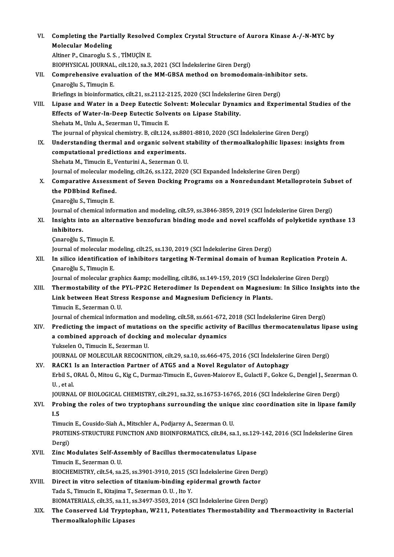| VI.    | Completing the Partially Resolved Complex Crystal Structure of Aurora Kinase A-/-N-MYC by<br><b>Molecular Modeling</b>  |
|--------|-------------------------------------------------------------------------------------------------------------------------|
|        | Altiner P., Cinaroglu S. S., TİMUÇİN E.                                                                                 |
|        | BIOPHYSICAL JOURNAL, cilt.120, sa.3, 2021 (SCI İndekslerine Giren Dergi)                                                |
| VII.   | Comprehensive evaluation of the MM-GBSA method on bromodomain-inhibitor sets.                                           |
|        | Çınaroğlu S., Timuçin E.                                                                                                |
|        | Briefings in bioinformatics, cilt.21, ss.2112-2125, 2020 (SCI Indekslerine Giren Dergi)                                 |
| VIII.  | Lipase and Water in a Deep Eutectic Solvent: Molecular Dynamics and Experimental Studies of the                         |
|        | Effects of Water-In-Deep Eutectic Solvents on Lipase Stability.                                                         |
|        | Shehata M., Unlu A., Sezerman U., Timucin E.                                                                            |
|        | The journal of physical chemistry. B, cilt.124, ss.8801-8810, 2020 (SCI İndekslerine Giren Dergi)                       |
| IX.    | Understanding thermal and organic solvent stability of thermoalkalophilic lipases: insights from                        |
|        | computational predictions and experiments.                                                                              |
|        | Shehata M., Timucin E., Venturini A., Sezerman O. U.                                                                    |
|        | Journal of molecular modeling, cilt.26, ss.122, 2020 (SCI Expanded İndekslerine Giren Dergi)                            |
| X.     | Comparative Assessment of Seven Docking Programs on a Nonredundant Metalloprotein Subset of                             |
|        | the PDBbind Refined.                                                                                                    |
|        | Çınaroğlu S., Timuçin E.                                                                                                |
|        | Journal of chemical information and modeling, cilt.59, ss.3846-3859, 2019 (SCI Indekslerine Giren Dergi)                |
| XI.    | Insights into an alternative benzofuran binding mode and novel scaffolds of polyketide synthase 13                      |
|        | inhibitors.                                                                                                             |
|        | Çınaroğlu S., Timuçin E.                                                                                                |
|        | Journal of molecular modeling, cilt.25, ss.130, 2019 (SCI İndekslerine Giren Dergi)                                     |
| XII.   | In silico identification of inhibitors targeting N-Terminal domain of human Replication Protein A.                      |
|        | Çınaroğlu S., Timuçin E.                                                                                                |
|        | Journal of molecular graphics & modelling, cilt.86, ss.149-159, 2019 (SCI İndekslerine Giren Dergi)                     |
| XIII.  | Thermostability of the PYL-PP2C Heterodimer Is Dependent on Magnesium: In Silico Insights into the                      |
|        | Link between Heat Stress Response and Magnesium Deficiency in Plants.                                                   |
|        | Timucin E. Sezerman O. U                                                                                                |
|        | Journal of chemical information and modeling, cilt.58, ss.661-672, 2018 (SCI Indekslerine Giren Dergi)                  |
| XIV.   | Predicting the impact of mutations on the specific activity of Bacillus thermocatenulatus lipase using                  |
|        | a combined approach of docking and molecular dynamics                                                                   |
|        | Yukselen O., Timucin E., Sezerman U.                                                                                    |
|        | JOURNAL OF MOLECULAR RECOGNITION, cilt.29, sa.10, ss.466-475, 2016 (SCI Indekslerine Giren Dergi)                       |
| XV.    | RACK1 Is an Interaction Partner of ATG5 and a Novel Regulator of Autophagy                                              |
|        | Erbil S., ORAL Ö., Mitou G., Kig C., Durmaz-Timucin E., Guven-Maiorov E., Gulacti F., Gokce G., Dengjel J., Sezerman O. |
|        | U, et al.                                                                                                               |
|        | JOURNAL OF BIOLOGICAL CHEMISTRY, cilt.291, sa.32, ss.16753-16765, 2016 (SCI Indekslerine Giren Dergi)                   |
| XVI.   | Probing the roles of two tryptophans surrounding the unique zinc coordination site in lipase family                     |
|        | I.5                                                                                                                     |
|        | Timucin E., Cousido-Siah A., Mitschler A., Podjarny A., Sezerman O. U.                                                  |
|        | PROTEINS-STRUCTURE FUNCTION AND BIOINFORMATICS, cilt.84, sa.1, ss.129-142, 2016 (SCI Indekslerine Giren                 |
|        | Dergi)                                                                                                                  |
| XVII.  | Zinc Modulates Self-Assembly of Bacillus thermocatenulatus Lipase<br>Timucin E., Sezerman O.U.                          |
|        | BIOCHEMISTRY, cilt 54, sa.25, ss.3901-3910, 2015 (SCI Indekslerine Giren Dergi)                                         |
| XVIII. | Direct in vitro selection of titanium-binding epidermal growth factor                                                   |
|        | Tada S., Timucin E., Kitajima T., Sezerman O. U., Ito Y.                                                                |
|        | BIOMATERIALS, cilt.35, sa.11, ss.3497-3503, 2014 (SCI Indekslerine Giren Dergi)                                         |
| XIX.   | The Conserved Lid Tryptophan, W211, Potentiates Thermostability and Thermoactivity in Bacterial                         |
|        | Thermoalkalophilic Lipases                                                                                              |
|        |                                                                                                                         |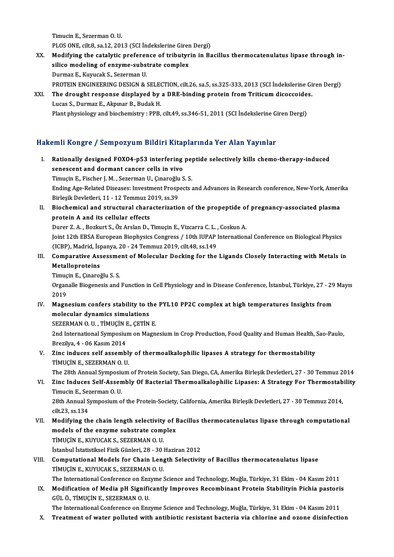Timucin E., Sezerman O. U. PLOS ONE, cilt.8, sa.12, 2013 (SCI İndekslerine Giren Dergi)

- XX. Modifying the catalytic preference of tributyrin in Bacillus thermocatenulatus lipase through in-PLOS ONE, cilt.8, sa.12, 2013 (SCI Indekslerine Girem<br>Modifying the catalytic preference of tributyr<br>silico modeling of enzyme-substrate complex<br>Dunmar E. Kunusak S. Sazamon H Modifying the catalytic preferer<br>silico modeling of enzyme-subs<br>Durmaz E., Kuyucak S., Sezerman U.<br>PROTEIN ENCINEERING DESICN & Durmaz E., Kuyucak S., Sezerman U.<br>PROTEIN ENGINEERING DESIGN & SELECTION, cilt.26, sa.5, ss.325-333, 2013 (SCI İndekslerine Giren Dergi) Durmaz E., Kuyucak S., Sezerman U.<br>PROTEIN ENGINEERING DESIGN & SELECTION, cilt.26, sa.5, ss.325-333, 2013 (SCI İndekslerine Gi<br>XXI. The drought response displayed by a DRE-binding protein from Triticum dicoccoides.
- PROTEIN ENGINEERING DESIGN & SELECTRE<br>The drought response displayed by<br>Lucas S., Durmaz E., Akpınar B., Budak H.<br>Blant physiology and biochamistry , PPP. The drought response displayed by a DRE-binding protein from Triticum dicoccoide<br>Lucas S., Durmaz E., Akpınar B., Budak H.<br>Plant physiology and biochemistry : PPB, cilt.49, ss.346-51, 2011 (SCI İndekslerine Giren Dergi)

## Plant physiology and biochemistry : PPB, cilt.49, ss.346-51, 2011 (SCI İndekslerine Giren Dergi)<br>Hakemli Kongre / Sempozyum Bildiri Kitaplarında Yer Alan Yayınlar

- akemli Kongre / Sempozyum Bildiri Kitaplarında Yer Alan Yayınlar<br>I. Rationally designed FOXO4-p53 interfering peptide selectively kills chemo-therapy-induced<br>Senessent and dermant senser sells in vive sini itongre 7 bemponyam nina interpretationally designed FOXO4-p53 interfering<br>senescent and dormant cancer cells in vivo<br>Timugin E. Eischen J. M. Seneman II. Cunanoğlu S Rationally designed FOXO4-p53 interfering pe<sub>l</sub><br>senescent and dormant cancer cells in vivo<br>Timuçin E., Fischer J.M. , Sezerman U., Çınaroğlu S.S.<br>Ending Age Belated Diseases: Investment Prespects a senescent and dormant cancer cells in vivo<br>Timuçin E., Fischer J. M. , Sezerman U., Çınaroğlu S. S.<br>Ending Age-Related Diseases: Investment Prospects and Advances in Research conference, New-York, Amerika<br>Birlesik Dovlatla Timuçin E., Fischer J. M. , Sezerman U., Çınaroğlu<br>Ending Age-Related Diseases: Investment Prosp<br>Birleşik Devletleri, 11 - 12 Temmuz 2019, ss.39<br>Pieshemisel and strustural shanasteriratis Ending Age-Related Diseases: Investment Prospects and Advances in Research conference, New-York, Ameri<br>Birleşik Devletleri, 11 - 12 Temmuz 2019, ss.39<br>II. Biochemical and structural characterization of the propeptide of pr Birleşik Devletleri, 11 - 12 Temmuz 2019, ss.39<br>II. Biochemical and structural characterization of the propeptide of pregnancy-associated plasma<br>protein A and its cellular effects Biochemical and structural characterization of the propeptide of<br>protein A and its cellular effects<br>Durer Z. A. , Bozkurt S., Öz Arslan D., Timuçin E., Vizcarra C. L. , Coskun A.<br>Joint 12th ERSA European Bionbusies Congres Joint 12th EBSA European Biophysics Congress / 10th IUPAP International Conference on Biological Physics<br>(ICBP), Madrid, İspanya, 20 - 24 Temmuz 2019, cilt.48, ss.149 Durer Z. A. , Bozkurt S., Öz Arslan D., Timuçin E., Vizcarra C. L. ,<br>Joint 12th EBSA European Biophysics Congress / 10th IUPAP |<br>(ICBP), Madrid, İspanya, 20 - 24 Temmuz 2019, cilt.48, ss.149<br>Comparative Assessment of Males Joint 12th EBSA European Biophysics Congress / 10th IUPAP International Conference on Biological Physics<br>(ICBP), Madrid, İspanya, 20 - 24 Temmuz 2019, cilt.48, ss.149<br>III. Comparative Assessment of Molecular Docking for th (ICBP), Madrid, İsp<br>Comparative Ass<br>Metalloproteins<br>Timugin E. Cunorei Comparative Assessme<br>Metalloproteins<br>Timuçin E., Çınaroğlu S. S.<br>Organelle Biogenesis and Metalloproteins<br>Timuçin E., Çınaroğlu S. S.<br>Organalle Biogenesis and Function in Cell Physiology and in Disease Conference, İstanbul, Türkiye, 27 - 29 Mayıs Timuç<br>Organ<br>2019<br>Magn Organalle Biogenesis and Function in Cell Physiology and in Disease Conference, İstanbul, Türkiye, 27 - 29<br>2019<br>IV. Magnesium confers stability to the PYL10 PP2C complex at high temperatures Insights from<br>mologylar dynamic 2019<br>IV. Magnesium confers stability to the PYL10 PP2C complex at high temperatures Insights from<br>molecular dynamics simulations Magnesium confers stability to the<br>molecular dynamics simulations<br>SEZERMAN O. U., TİMUÇİN E., ÇETİN E.<br>2nd International Sumnesium en Megn 2nd International Symposium on Magnesium in Crop Production, Food Quality and Human Health, Sao-Paulo, Brezilya, 4 - 06 Kasım 2014 SEZERMAN O. U. , TİMUÇİN I<br>2nd International Symposiu<br>Brezilya, 4 - 06 Kasım 2014<br>Zine induses self sesemb 2nd International Symposium on Magnesium in Crop Production, Food Quality and Human Health, 3<br>Brezilya, 4 - 06 Kasım 2014<br>V. Zinc induces self assembly of thermoalkalophilic lipases A strategy for thermostability<br>TIMUCIN E Brezilya, 4 - 06 Kasım 2014<br>Zinc induces self assembl:<br>TİMUÇİN E., SEZERMAN O. U.<br>The 29th Annual Sumnosium Zinc induces self assembly of thermoalkalophilic lipases A strategy for thermostability<br>TiMUÇİN E., SEZERMAN O. U.<br>The 28th Annual Symposium of Protein Society, San Diego, CA, Amerika Birleşik Devletleri, 27 - 30 Temmuz 20 TIMUÇIN E., SEZERMAN O. U.<br>The 28th Annual Symposium of Protein Society, San Diego, CA, Amerika Birleşik Devletleri, 27 - 30 Temmuz 2014<br>VI. Zinc Induces Self-Assembly Of Bacterial Thermoalkalophilic Lipases: A Strategy Fo The 28th Annual Symposit<br>**Zinc Induces Self-Assen**<br>Timucin E., Sezerman O. U.<br>29th Annual Symposium o Zinc Induces Self-Assembly Of Bacterial Thermoalkalophilic Lipases: A Strategy For Thermostab<br>Timucin E., Sezerman O. U.<br>28th Annual Symposium of the Protein-Society, California, Amerika Birleşik Devletleri, 27 - 30 Temmuz Timucin E., Sez<br>28th Annual S<br>cilt.23, ss.134<br>Modifying th 28th Annual Symposium of the Protein-Society, California, Amerika Birleşik Devletleri, 27 - 30 Temmuz 2014,<br>cilt.23, ss.134<br>VII. Modifying the chain length selectivity of Bacillus thermocatenulatus lipase through computati cilt.23, ss.134<br>Modifying the chain length selectivity of I<br>models of the enzyme substrate complex<br>TiMUCIN E, KUVUCAK S, SEZERMAN O U Modifying the chain length selectivity<br>models of the enzyme substrate comprimulgin E., KUYUCAK S., SEZERMAN O. U.<br>tatanbul istatistikaal Eizik Cünlori 28, 29, 20 models of the enzyme substrate complex<br>TIMUÇIN E., KUYUCAK S., SEZERMAN O. U.<br>İstanbul İstatistiksel Fizik Günleri. 28 - 30 Haziran 2012 TİMUÇİN E., KUYUCAK S., SEZERMAN O. U.<br>İstanbul İstatistiksel Fizik Günleri, 28 - 30 Haziran 2012<br>VIII. Computational Models for Chain Length Selectivity of Bacillus thermocatenulatus lipase<br>TİMICİN E. KUYUCAK S. SEZED İstanbul İstatistiksel Fizik Günleri, 28 - 30<br>Computational Models for Chain Leng<br>TİMUÇİN E., KUYUCAK S., SEZERMAN O. U.<br>The International Conference on Engume i Computational Models for Chain Length Selectivity of Bacillus thermocatenulatus lipase<br>TİMUÇİN E., KUYUCAK S., SEZERMAN O. U.<br>The International Conference on Enzyme Science and Technology, Muğla, Türkiye, 31 Ekim - 04 Kası TİMUÇİN E., KUYUCAK S., SEZERMAN O. U.<br>The International Conference on Enzyme Science and Technology, Muğla, Türkiye, 31 Ekim - 04 Kasım 2011<br>IX. Modification of Media pH Significantly Improves Recombinant Protein Stab The International Conference on Enz<br>Modification of Media pH Signific<br>GÜL Ö., TİMUÇİN E., SEZERMAN O. U.<br>The International Conference on Enz
	- Modification of Media pH Significantly Improves Recombinant Protein Stabilityin Pichia pastori:<br>GÜL Ö., TİMUÇİN E., SEZERMAN O. U.<br>The International Conference on Enzyme Science and Technology, Muğla, Türkiye, 31 Ekim 04 GÜL Ö., TIMUÇIN E., SEZERMAN O. U.<br>The International Conference on Enzyme Science and Technology, Muğla, Türkiye, 31 Ekim - 04 Kasım 2011<br>X. Treatment of water polluted with antibiotic resistant bacteria via chlorine a